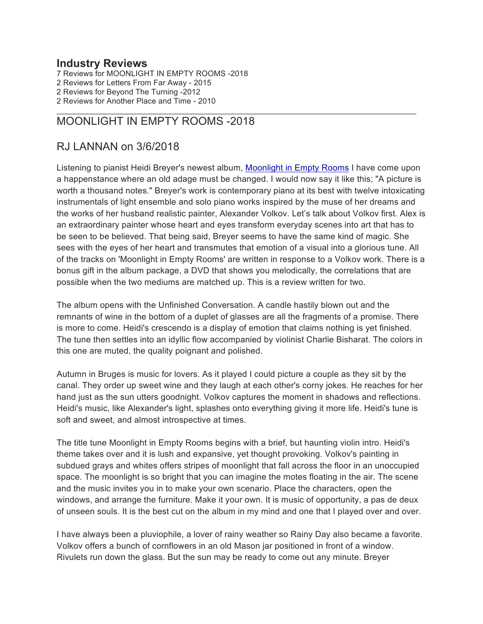#### **Industry Reviews**

7 Reviews for MOONLIGHT IN EMPTY ROOMS -2018 Reviews for Letters From Far Away - 2015 Reviews for Beyond The Turning -2012 Reviews for Another Place and Time - 2010

### MOONLIGHT IN EMPTY ROOMS -2018

### RJ LANNAN on 3/6/2018

Listening to pianist Heidi Breyer's newest album, Moonlight in Empty Rooms I have come upon a happenstance where an old adage must be changed. I would now say it like this; "A picture is worth a thousand notes." Breyer's work is contemporary piano at its best with twelve intoxicating instrumentals of light ensemble and solo piano works inspired by the muse of her dreams and the works of her husband realistic painter, Alexander Volkov. Let's talk about Volkov first. Alex is an extraordinary painter whose heart and eyes transform everyday scenes into art that has to be seen to be believed. That being said, Breyer seems to have the same kind of magic. She sees with the eyes of her heart and transmutes that emotion of a visual into a glorious tune. All of the tracks on 'Moonlight in Empty Rooms' are written in response to a Volkov work. There is a bonus gift in the album package, a DVD that shows you melodically, the correlations that are possible when the two mediums are matched up. This is a review written for two.

The album opens with the Unfinished Conversation. A candle hastily blown out and the remnants of wine in the bottom of a duplet of glasses are all the fragments of a promise. There is more to come. Heidi's crescendo is a display of emotion that claims nothing is yet finished. The tune then settles into an idyllic flow accompanied by violinist Charlie Bisharat. The colors in this one are muted, the quality poignant and polished.

Autumn in Bruges is music for lovers. As it played I could picture a couple as they sit by the canal. They order up sweet wine and they laugh at each other's corny jokes. He reaches for her hand just as the sun utters goodnight. Volkov captures the moment in shadows and reflections. Heidi's music, like Alexander's light, splashes onto everything giving it more life. Heidi's tune is soft and sweet, and almost introspective at times.

The title tune Moonlight in Empty Rooms begins with a brief, but haunting violin intro. Heidi's theme takes over and it is lush and expansive, yet thought provoking. Volkov's painting in subdued grays and whites offers stripes of moonlight that fall across the floor in an unoccupied space. The moonlight is so bright that you can imagine the motes floating in the air. The scene and the music invites you in to make your own scenario. Place the characters, open the windows, and arrange the furniture. Make it your own. It is music of opportunity, a pas de deux of unseen souls. It is the best cut on the album in my mind and one that I played over and over.

I have always been a pluviophile, a lover of rainy weather so Rainy Day also became a favorite. Volkov offers a bunch of cornflowers in an old Mason jar positioned in front of a window. Rivulets run down the glass. But the sun may be ready to come out any minute. Breyer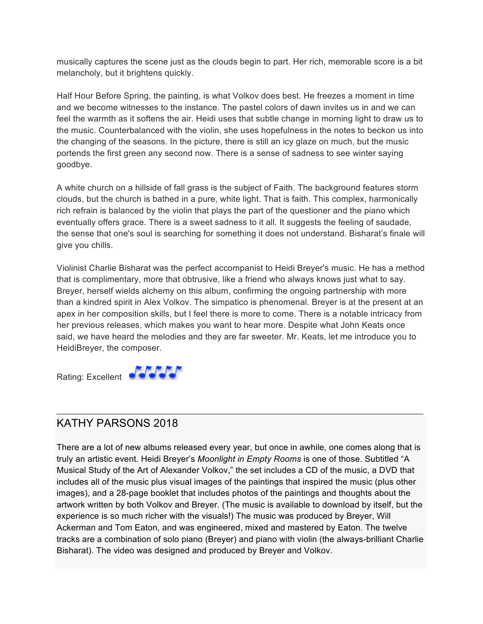musically captures the scene just as the clouds begin to part. Her rich, memorable score is a bit melancholy, but it brightens quickly.

Half Hour Before Spring, the painting, is what Volkov does best. He freezes a moment in time and we become witnesses to the instance. The pastel colors of dawn invites us in and we can feel the warmth as it softens the air. Heidi uses that subtle change in morning light to draw us to the music. Counterbalanced with the violin, she uses hopefulness in the notes to beckon us into the changing of the seasons. In the picture, there is still an icy glaze on much, but the music portends the first green any second now. There is a sense of sadness to see winter saying goodbye.

A white church on a hillside of fall grass is the subject of Faith. The background features storm clouds, but the church is bathed in a pure, white light. That is faith. This complex, harmonically rich refrain is balanced by the violin that plays the part of the questioner and the piano which eventually offers grace. There is a sweet sadness to it all. It suggests the feeling of saudade, the sense that one's soul is searching for something it does not understand. Bisharat's finale will give you chills.

Violinist Charlie Bisharat was the perfect accompanist to Heidi Breyer's music. He has a method that is complimentary, more that obtrusive, like a friend who always knows just what to say. Breyer, herself wields alchemy on this album, confirming the ongoing partnership with more than a kindred spirit in Alex Volkov. The simpatico is phenomenal. Breyer is at the present at an apex in her composition skills, but I feel there is more to come. There is a notable intricacy from her previous releases, which makes you want to hear more. Despite what John Keats once said, we have heard the melodies and they are far sweeter. Mr. Keats, let me introduce you to HeidiBreyer, the composer.



## KATHY PARSONS 2018

There are a lot of new albums released every year, but once in awhile, one comes along that is truly an artistic event. Heidi Breyer's *Moonlight in Empty Rooms* is one of those. Subtitled "A Musical Study of the Art of Alexander Volkov," the set includes a CD of the music, a DVD that includes all of the music plus visual images of the paintings that inspired the music (plus other images), and a 28-page booklet that includes photos of the paintings and thoughts about the artwork written by both Volkov and Breyer. (The music is available to download by itself, but the experience is so much richer with the visuals!) The music was produced by Breyer, Will Ackerman and Tom Eaton, and was engineered, mixed and mastered by Eaton. The twelve tracks are a combination of solo piano (Breyer) and piano with violin (the always-brilliant Charlie Bisharat). The video was designed and produced by Breyer and Volkov.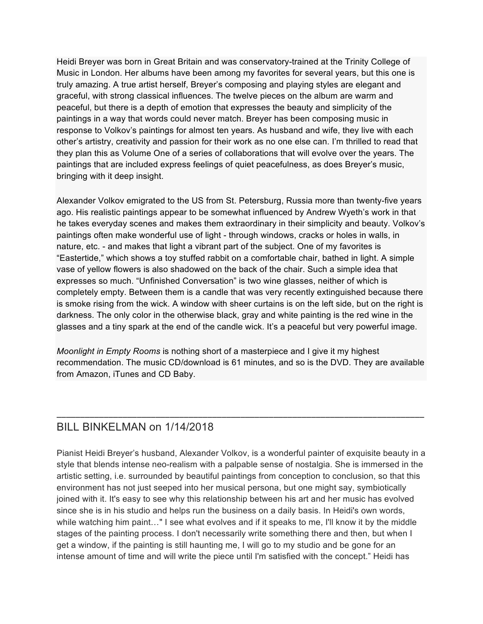Heidi Breyer was born in Great Britain and was conservatory-trained at the Trinity College of Music in London. Her albums have been among my favorites for several years, but this one is truly amazing. A true artist herself, Breyer's composing and playing styles are elegant and graceful, with strong classical influences. The twelve pieces on the album are warm and peaceful, but there is a depth of emotion that expresses the beauty and simplicity of the paintings in a way that words could never match. Breyer has been composing music in response to Volkov's paintings for almost ten years. As husband and wife, they live with each other's artistry, creativity and passion for their work as no one else can. I'm thrilled to read that they plan this as Volume One of a series of collaborations that will evolve over the years. The paintings that are included express feelings of quiet peacefulness, as does Breyer's music, bringing with it deep insight.

Alexander Volkov emigrated to the US from St. Petersburg, Russia more than twenty-five years ago. His realistic paintings appear to be somewhat influenced by Andrew Wyeth's work in that he takes everyday scenes and makes them extraordinary in their simplicity and beauty. Volkov's paintings often make wonderful use of light - through windows, cracks or holes in walls, in nature, etc. - and makes that light a vibrant part of the subject. One of my favorites is "Eastertide," which shows a toy stuffed rabbit on a comfortable chair, bathed in light. A simple vase of yellow flowers is also shadowed on the back of the chair. Such a simple idea that expresses so much. "Unfinished Conversation" is two wine glasses, neither of which is completely empty. Between them is a candle that was very recently extinguished because there is smoke rising from the wick. A window with sheer curtains is on the left side, but on the right is darkness. The only color in the otherwise black, gray and white painting is the red wine in the glasses and a tiny spark at the end of the candle wick. It's a peaceful but very powerful image.

*Moonlight in Empty Rooms* is nothing short of a masterpiece and I give it my highest recommendation. The music CD/download is 61 minutes, and so is the DVD. They are available from Amazon, iTunes and CD Baby.

\_\_\_\_\_\_\_\_\_\_\_\_\_\_\_\_\_\_\_\_\_\_\_\_\_\_\_\_\_\_\_\_\_\_\_\_\_\_\_\_\_\_\_\_\_\_\_\_\_\_\_\_\_\_\_\_\_\_\_\_\_\_\_\_\_\_\_\_\_\_\_\_\_\_\_\_\_\_

## BILL BINKELMAN on 1/14/2018

Pianist Heidi Breyer's husband, Alexander Volkov, is a wonderful painter of exquisite beauty in a style that blends intense neo-realism with a palpable sense of nostalgia. She is immersed in the artistic setting, i.e. surrounded by beautiful paintings from conception to conclusion, so that this environment has not just seeped into her musical persona, but one might say, symbiotically joined with it. It's easy to see why this relationship between his art and her music has evolved since she is in his studio and helps run the business on a daily basis. In Heidi's own words, while watching him paint..." I see what evolves and if it speaks to me, I'll know it by the middle stages of the painting process. I don't necessarily write something there and then, but when I get a window, if the painting is still haunting me, I will go to my studio and be gone for an intense amount of time and will write the piece until I'm satisfied with the concept." Heidi has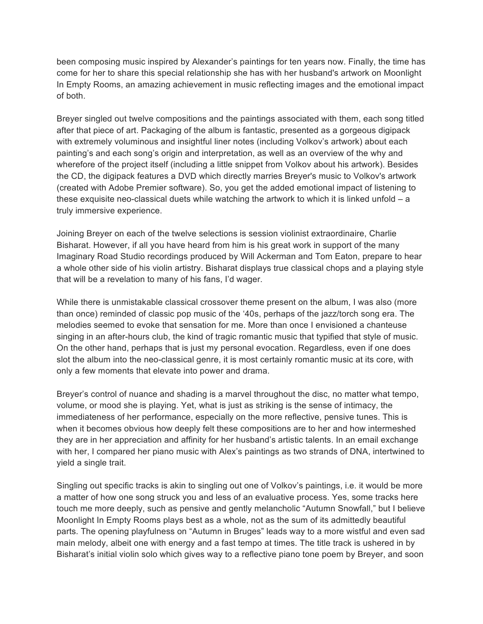been composing music inspired by Alexander's paintings for ten years now. Finally, the time has come for her to share this special relationship she has with her husband's artwork on Moonlight In Empty Rooms, an amazing achievement in music reflecting images and the emotional impact of both.

Breyer singled out twelve compositions and the paintings associated with them, each song titled after that piece of art. Packaging of the album is fantastic, presented as a gorgeous digipack with extremely voluminous and insightful liner notes (including Volkov's artwork) about each painting's and each song's origin and interpretation, as well as an overview of the why and wherefore of the project itself (including a little snippet from Volkov about his artwork). Besides the CD, the digipack features a DVD which directly marries Breyer's music to Volkov's artwork (created with Adobe Premier software). So, you get the added emotional impact of listening to these exquisite neo-classical duets while watching the artwork to which it is linked unfold – a truly immersive experience.

Joining Breyer on each of the twelve selections is session violinist extraordinaire, Charlie Bisharat. However, if all you have heard from him is his great work in support of the many Imaginary Road Studio recordings produced by Will Ackerman and Tom Eaton, prepare to hear a whole other side of his violin artistry. Bisharat displays true classical chops and a playing style that will be a revelation to many of his fans, I'd wager.

While there is unmistakable classical crossover theme present on the album, I was also (more than once) reminded of classic pop music of the '40s, perhaps of the jazz/torch song era. The melodies seemed to evoke that sensation for me. More than once I envisioned a chanteuse singing in an after-hours club, the kind of tragic romantic music that typified that style of music. On the other hand, perhaps that is just my personal evocation. Regardless, even if one does slot the album into the neo-classical genre, it is most certainly romantic music at its core, with only a few moments that elevate into power and drama.

Breyer's control of nuance and shading is a marvel throughout the disc, no matter what tempo, volume, or mood she is playing. Yet, what is just as striking is the sense of intimacy, the immediateness of her performance, especially on the more reflective, pensive tunes. This is when it becomes obvious how deeply felt these compositions are to her and how intermeshed they are in her appreciation and affinity for her husband's artistic talents. In an email exchange with her, I compared her piano music with Alex's paintings as two strands of DNA, intertwined to yield a single trait.

Singling out specific tracks is akin to singling out one of Volkov's paintings, i.e. it would be more a matter of how one song struck you and less of an evaluative process. Yes, some tracks here touch me more deeply, such as pensive and gently melancholic "Autumn Snowfall," but I believe Moonlight In Empty Rooms plays best as a whole, not as the sum of its admittedly beautiful parts. The opening playfulness on "Autumn in Bruges" leads way to a more wistful and even sad main melody, albeit one with energy and a fast tempo at times. The title track is ushered in by Bisharat's initial violin solo which gives way to a reflective piano tone poem by Breyer, and soon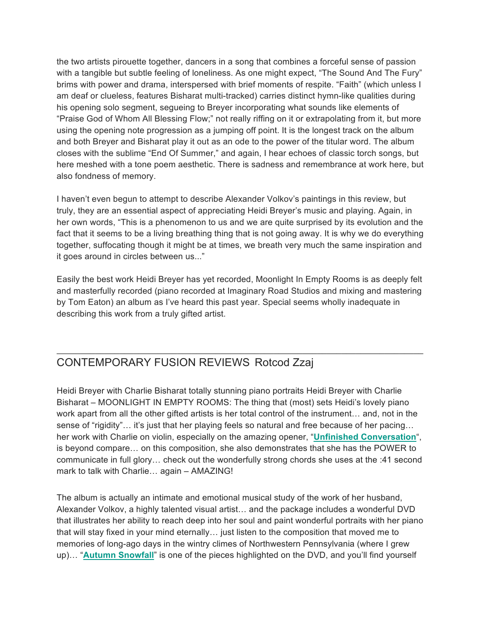the two artists pirouette together, dancers in a song that combines a forceful sense of passion with a tangible but subtle feeling of loneliness. As one might expect, "The Sound And The Fury" brims with power and drama, interspersed with brief moments of respite. "Faith" (which unless I am deaf or clueless, features Bisharat multi-tracked) carries distinct hymn-like qualities during his opening solo segment, segueing to Breyer incorporating what sounds like elements of "Praise God of Whom All Blessing Flow;" not really riffing on it or extrapolating from it, but more using the opening note progression as a jumping off point. It is the longest track on the album and both Breyer and Bisharat play it out as an ode to the power of the titular word. The album closes with the sublime "End Of Summer," and again, I hear echoes of classic torch songs, but here meshed with a tone poem aesthetic. There is sadness and remembrance at work here, but also fondness of memory.

I haven't even begun to attempt to describe Alexander Volkov's paintings in this review, but truly, they are an essential aspect of appreciating Heidi Breyer's music and playing. Again, in her own words, "This is a phenomenon to us and we are quite surprised by its evolution and the fact that it seems to be a living breathing thing that is not going away. It is why we do everything together, suffocating though it might be at times, we breath very much the same inspiration and it goes around in circles between us..."

Easily the best work Heidi Breyer has yet recorded, Moonlight In Empty Rooms is as deeply felt and masterfully recorded (piano recorded at Imaginary Road Studios and mixing and mastering by Tom Eaton) an album as I've heard this past year. Special seems wholly inadequate in describing this work from a truly gifted artist.

\_\_\_\_\_\_\_\_\_\_\_\_\_\_\_\_\_\_\_\_\_\_\_\_\_\_\_\_\_\_\_\_\_\_\_\_\_\_\_\_\_\_\_\_\_\_\_\_\_\_\_\_\_\_\_\_\_\_\_\_\_\_\_\_\_\_\_\_\_\_\_\_\_\_\_\_

# CONTEMPORARY FUSION REVIEWS Rotcod Zzaj

Heidi Breyer with Charlie Bisharat totally stunning piano portraits Heidi Breyer with Charlie Bisharat – MOONLIGHT IN EMPTY ROOMS: The thing that (most) sets Heidi's lovely piano work apart from all the other gifted artists is her total control of the instrument… and, not in the sense of "rigidity"... it's just that her playing feels so natural and free because of her pacing... her work with Charlie on violin, especially on the amazing opener, "**Unfinished Conversation**", is beyond compare… on this composition, she also demonstrates that she has the POWER to communicate in full glory… check out the wonderfully strong chords she uses at the :41 second mark to talk with Charlie… again – AMAZING!

The album is actually an intimate and emotional musical study of the work of her husband, Alexander Volkov, a highly talented visual artist… and the package includes a wonderful DVD that illustrates her ability to reach deep into her soul and paint wonderful portraits with her piano that will stay fixed in your mind eternally… just listen to the composition that moved me to memories of long-ago days in the wintry climes of Northwestern Pennsylvania (where I grew up)… "**Autumn Snowfall**" is one of the pieces highlighted on the DVD, and you'll find yourself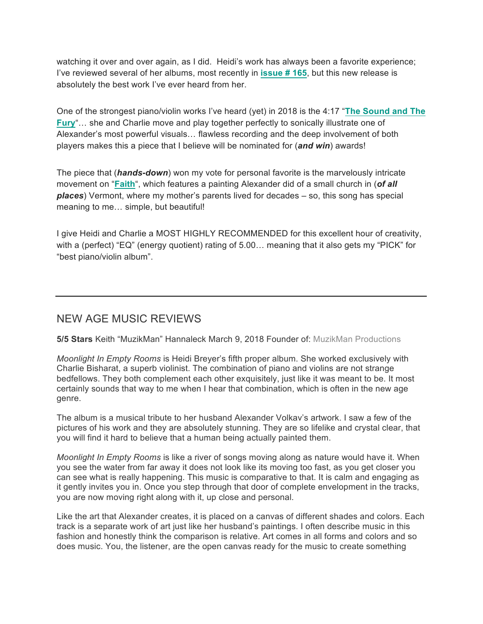watching it over and over again, as I did. Heidi's work has always been a favorite experience; I've reviewed several of her albums, most recently in **issue # 165**, but this new release is absolutely the best work I've ever heard from her.

One of the strongest piano/violin works I've heard (yet) in 2018 is the 4:17 "**The Sound and The Fury**"… she and Charlie move and play together perfectly to sonically illustrate one of Alexander's most powerful visuals… flawless recording and the deep involvement of both players makes this a piece that I believe will be nominated for (*and win*) awards!

The piece that (*hands-down*) won my vote for personal favorite is the marvelously intricate movement on "**Faith**", which features a painting Alexander did of a small church in (*of all places*) Vermont, where my mother's parents lived for decades – so, this song has special meaning to me… simple, but beautiful!

I give Heidi and Charlie a MOST HIGHLY RECOMMENDED for this excellent hour of creativity, with a (perfect) "EQ" (energy quotient) rating of 5.00… meaning that it also gets my "PICK" for "best piano/violin album".

# NEW AGE MUSIC REVIEWS

**5/5 Stars** Keith "MuzikMan" Hannaleck March 9, 2018 Founder of: MuzikMan Productions

*Moonlight In Empty Rooms* is Heidi Breyer's fifth proper album. She worked exclusively with Charlie Bisharat, a superb violinist. The combination of piano and violins are not strange bedfellows. They both complement each other exquisitely, just like it was meant to be. It most certainly sounds that way to me when I hear that combination, which is often in the new age genre.

The album is a musical tribute to her husband Alexander Volkav's artwork. I saw a few of the pictures of his work and they are absolutely stunning. They are so lifelike and crystal clear, that you will find it hard to believe that a human being actually painted them.

*Moonlight In Empty Rooms* is like a river of songs moving along as nature would have it. When you see the water from far away it does not look like its moving too fast, as you get closer you can see what is really happening. This music is comparative to that. It is calm and engaging as it gently invites you in. Once you step through that door of complete envelopment in the tracks, you are now moving right along with it, up close and personal.

Like the art that Alexander creates, it is placed on a canvas of different shades and colors. Each track is a separate work of art just like her husband's paintings. I often describe music in this fashion and honestly think the comparison is relative. Art comes in all forms and colors and so does music. You, the listener, are the open canvas ready for the music to create something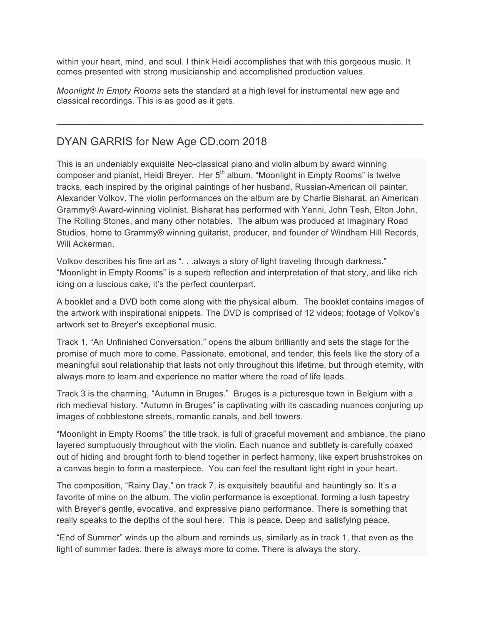within your heart, mind, and soul. I think Heidi accomplishes that with this gorgeous music. It comes presented with strong musicianship and accomplished production values.

*Moonlight In Empty Rooms* sets the standard at a high level for instrumental new age and classical recordings. This is as good as it gets.

 $\mathcal{L}_\mathcal{L}$  , and the contribution of the contribution of the contribution of the contribution of the contribution of the contribution of the contribution of the contribution of the contribution of the contribution of

## DYAN GARRIS for New Age CD.com 2018

This is an undeniably exquisite Neo-classical piano and violin album by award winning composer and pianist, Heidi Breyer. Her 5<sup>th</sup> album, "Moonlight in Empty Rooms" is twelve tracks, each inspired by the original paintings of her husband, Russian-American oil painter, Alexander Volkov. The violin performances on the album are by Charlie Bisharat, an American Grammy® Award-winning violinist. Bisharat has performed with Yanni, John Tesh, Elton John, The Rolling Stones, and many other notables. The album was produced at Imaginary Road Studios, home to Grammy® winning guitarist, producer, and founder of Windham Hill Records, Will Ackerman.

Volkov describes his fine art as ". . . always a story of light traveling through darkness." "Moonlight in Empty Rooms" is a superb reflection and interpretation of that story, and like rich icing on a luscious cake, it's the perfect counterpart.

A booklet and a DVD both come along with the physical album. The booklet contains images of the artwork with inspirational snippets. The DVD is comprised of 12 videos; footage of Volkov's artwork set to Breyer's exceptional music.

Track 1, "An Unfinished Conversation," opens the album brilliantly and sets the stage for the promise of much more to come. Passionate, emotional, and tender, this feels like the story of a meaningful soul relationship that lasts not only throughout this lifetime, but through eternity, with always more to learn and experience no matter where the road of life leads.

Track 3 is the charming, "Autumn in Bruges." Bruges is a picturesque town in Belgium with a rich medieval history. "Autumn in Bruges" is captivating with its cascading nuances conjuring up images of cobblestone streets, romantic canals, and bell towers.

"Moonlight in Empty Rooms" the title track, is full of graceful movement and ambiance, the piano layered sumptuously throughout with the violin. Each nuance and subtlety is carefully coaxed out of hiding and brought forth to blend together in perfect harmony, like expert brushstrokes on a canvas begin to form a masterpiece. You can feel the resultant light right in your heart.

The composition, "Rainy Day," on track 7, is exquisitely beautiful and hauntingly so. It's a favorite of mine on the album. The violin performance is exceptional, forming a lush tapestry with Breyer's gentle, evocative, and expressive piano performance. There is something that really speaks to the depths of the soul here. This is peace. Deep and satisfying peace.

"End of Summer" winds up the album and reminds us, similarly as in track 1, that even as the light of summer fades, there is always more to come. There is always the story.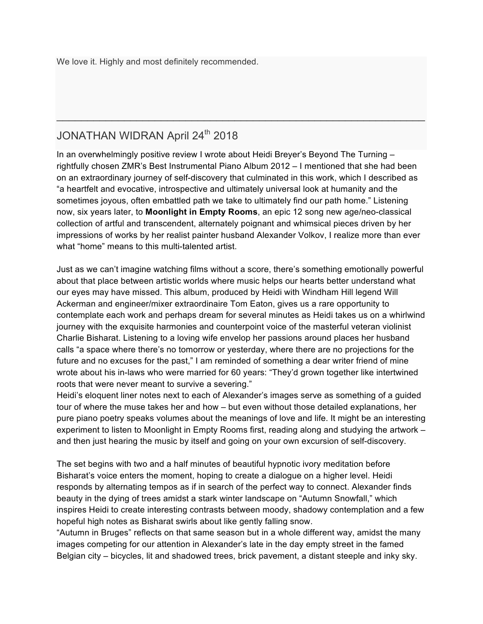We love it. Highly and most definitely recommended.

# JONATHAN WIDRAN April 24<sup>th</sup> 2018

In an overwhelmingly positive review I wrote about Heidi Breyer's Beyond The Turning – rightfully chosen ZMR's Best Instrumental Piano Album 2012 – I mentioned that she had been on an extraordinary journey of self-discovery that culminated in this work, which I described as "a heartfelt and evocative, introspective and ultimately universal look at humanity and the sometimes joyous, often embattled path we take to ultimately find our path home." Listening now, six years later, to **Moonlight in Empty Rooms**, an epic 12 song new age/neo-classical collection of artful and transcendent, alternately poignant and whimsical pieces driven by her impressions of works by her realist painter husband Alexander Volkov, I realize more than ever what "home" means to this multi-talented artist.

 $\_$ 

Just as we can't imagine watching films without a score, there's something emotionally powerful about that place between artistic worlds where music helps our hearts better understand what our eyes may have missed. This album, produced by Heidi with Windham Hill legend Will Ackerman and engineer/mixer extraordinaire Tom Eaton, gives us a rare opportunity to contemplate each work and perhaps dream for several minutes as Heidi takes us on a whirlwind journey with the exquisite harmonies and counterpoint voice of the masterful veteran violinist Charlie Bisharat. Listening to a loving wife envelop her passions around places her husband calls "a space where there's no tomorrow or yesterday, where there are no projections for the future and no excuses for the past," I am reminded of something a dear writer friend of mine wrote about his in-laws who were married for 60 years: "They'd grown together like intertwined roots that were never meant to survive a severing."

Heidi's eloquent liner notes next to each of Alexander's images serve as something of a guided tour of where the muse takes her and how – but even without those detailed explanations, her pure piano poetry speaks volumes about the meanings of love and life. It might be an interesting experiment to listen to Moonlight in Empty Rooms first, reading along and studying the artwork – and then just hearing the music by itself and going on your own excursion of self-discovery.

The set begins with two and a half minutes of beautiful hypnotic ivory meditation before Bisharat's voice enters the moment, hoping to create a dialogue on a higher level. Heidi responds by alternating tempos as if in search of the perfect way to connect. Alexander finds beauty in the dying of trees amidst a stark winter landscape on "Autumn Snowfall," which inspires Heidi to create interesting contrasts between moody, shadowy contemplation and a few hopeful high notes as Bisharat swirls about like gently falling snow.

"Autumn in Bruges" reflects on that same season but in a whole different way, amidst the many images competing for our attention in Alexander's late in the day empty street in the famed Belgian city – bicycles, lit and shadowed trees, brick pavement, a distant steeple and inky sky.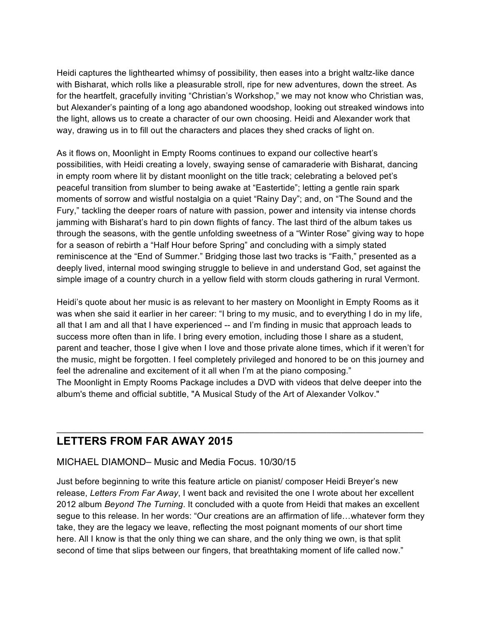Heidi captures the lighthearted whimsy of possibility, then eases into a bright waltz-like dance with Bisharat, which rolls like a pleasurable stroll, ripe for new adventures, down the street. As for the heartfelt, gracefully inviting "Christian's Workshop," we may not know who Christian was, but Alexander's painting of a long ago abandoned woodshop, looking out streaked windows into the light, allows us to create a character of our own choosing. Heidi and Alexander work that way, drawing us in to fill out the characters and places they shed cracks of light on.

As it flows on, Moonlight in Empty Rooms continues to expand our collective heart's possibilities, with Heidi creating a lovely, swaying sense of camaraderie with Bisharat, dancing in empty room where lit by distant moonlight on the title track; celebrating a beloved pet's peaceful transition from slumber to being awake at "Eastertide"; letting a gentle rain spark moments of sorrow and wistful nostalgia on a quiet "Rainy Day"; and, on "The Sound and the Fury," tackling the deeper roars of nature with passion, power and intensity via intense chords jamming with Bisharat's hard to pin down flights of fancy. The last third of the album takes us through the seasons, with the gentle unfolding sweetness of a "Winter Rose" giving way to hope for a season of rebirth a "Half Hour before Spring" and concluding with a simply stated reminiscence at the "End of Summer." Bridging those last two tracks is "Faith," presented as a deeply lived, internal mood swinging struggle to believe in and understand God, set against the simple image of a country church in a yellow field with storm clouds gathering in rural Vermont.

Heidi's quote about her music is as relevant to her mastery on Moonlight in Empty Rooms as it was when she said it earlier in her career: "I bring to my music, and to everything I do in my life, all that I am and all that I have experienced -- and I'm finding in music that approach leads to success more often than in life. I bring every emotion, including those I share as a student, parent and teacher, those I give when I love and those private alone times, which if it weren't for the music, might be forgotten. I feel completely privileged and honored to be on this journey and feel the adrenaline and excitement of it all when I'm at the piano composing." The Moonlight in Empty Rooms Package includes a DVD with videos that delve deeper into the album's theme and official subtitle, "A Musical Study of the Art of Alexander Volkov."

\_\_\_\_\_\_\_\_\_\_\_\_\_\_\_\_\_\_\_\_\_\_\_\_\_\_\_\_\_\_\_\_\_\_\_\_\_\_\_\_\_\_\_\_\_\_\_\_\_\_\_\_\_\_\_\_\_\_\_\_\_\_\_\_\_\_\_\_\_\_\_\_\_\_\_\_

### **LETTERS FROM FAR AWAY 2015**

#### MICHAEL DIAMOND– Music and Media Focus. 10/30/15

Just before beginning to write this feature article on pianist/ composer Heidi Breyer's new release, *Letters From Far Away*, I went back and revisited the one I wrote about her excellent 2012 album *Beyond The Turning*. It concluded with a quote from Heidi that makes an excellent segue to this release. In her words: "Our creations are an affirmation of life…whatever form they take, they are the legacy we leave, reflecting the most poignant moments of our short time here. All I know is that the only thing we can share, and the only thing we own, is that split second of time that slips between our fingers, that breathtaking moment of life called now."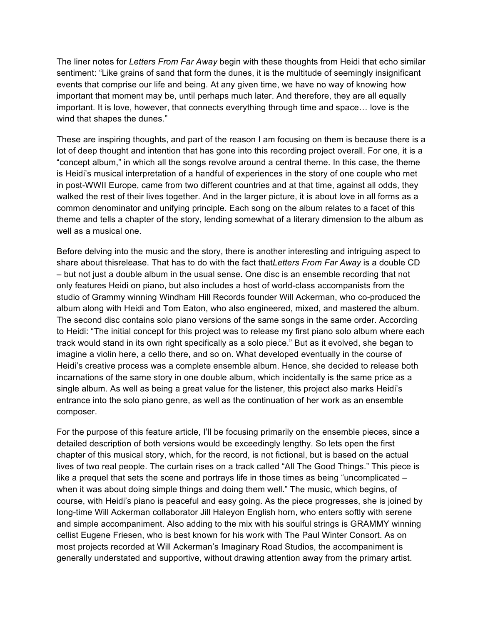The liner notes for *Letters From Far Away* begin with these thoughts from Heidi that echo similar sentiment: "Like grains of sand that form the dunes, it is the multitude of seemingly insignificant events that comprise our life and being. At any given time, we have no way of knowing how important that moment may be, until perhaps much later. And therefore, they are all equally important. It is love, however, that connects everything through time and space… love is the wind that shapes the dunes."

These are inspiring thoughts, and part of the reason I am focusing on them is because there is a lot of deep thought and intention that has gone into this recording project overall. For one, it is a "concept album," in which all the songs revolve around a central theme. In this case, the theme is Heidi's musical interpretation of a handful of experiences in the story of one couple who met in post-WWII Europe, came from two different countries and at that time, against all odds, they walked the rest of their lives together. And in the larger picture, it is about love in all forms as a common denominator and unifying principle. Each song on the album relates to a facet of this theme and tells a chapter of the story, lending somewhat of a literary dimension to the album as well as a musical one.

Before delving into the music and the story, there is another interesting and intriguing aspect to share about thisrelease. That has to do with the fact that*Letters From Far Away* is a double CD – but not just a double album in the usual sense. One disc is an ensemble recording that not only features Heidi on piano, but also includes a host of world-class accompanists from the studio of Grammy winning Windham Hill Records founder Will Ackerman, who co-produced the album along with Heidi and Tom Eaton, who also engineered, mixed, and mastered the album. The second disc contains solo piano versions of the same songs in the same order. According to Heidi: "The initial concept for this project was to release my first piano solo album where each track would stand in its own right specifically as a solo piece." But as it evolved, she began to imagine a violin here, a cello there, and so on. What developed eventually in the course of Heidi's creative process was a complete ensemble album. Hence, she decided to release both incarnations of the same story in one double album, which incidentally is the same price as a single album. As well as being a great value for the listener, this project also marks Heidi's entrance into the solo piano genre, as well as the continuation of her work as an ensemble composer.

For the purpose of this feature article, I'll be focusing primarily on the ensemble pieces, since a detailed description of both versions would be exceedingly lengthy. So lets open the first chapter of this musical story, which, for the record, is not fictional, but is based on the actual lives of two real people. The curtain rises on a track called "All The Good Things." This piece is like a prequel that sets the scene and portrays life in those times as being "uncomplicated – when it was about doing simple things and doing them well." The music, which begins, of course, with Heidi's piano is peaceful and easy going. As the piece progresses, she is joined by long-time Will Ackerman collaborator Jill Haleyon English horn, who enters softly with serene and simple accompaniment. Also adding to the mix with his soulful strings is GRAMMY winning cellist Eugene Friesen, who is best known for his work with The Paul Winter Consort. As on most projects recorded at Will Ackerman's Imaginary Road Studios, the accompaniment is generally understated and supportive, without drawing attention away from the primary artist.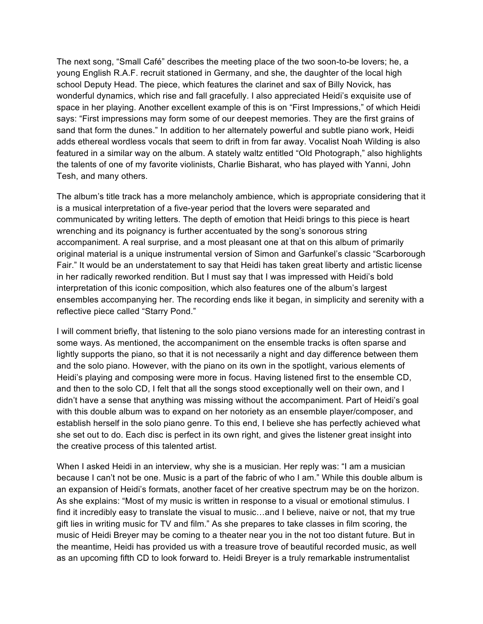The next song, "Small Café" describes the meeting place of the two soon-to-be lovers; he, a young English R.A.F. recruit stationed in Germany, and she, the daughter of the local high school Deputy Head. The piece, which features the clarinet and sax of Billy Novick, has wonderful dynamics, which rise and fall gracefully. I also appreciated Heidi's exquisite use of space in her playing. Another excellent example of this is on "First Impressions," of which Heidi says: "First impressions may form some of our deepest memories. They are the first grains of sand that form the dunes." In addition to her alternately powerful and subtle piano work, Heidi adds ethereal wordless vocals that seem to drift in from far away. Vocalist Noah Wilding is also featured in a similar way on the album. A stately waltz entitled "Old Photograph," also highlights the talents of one of my favorite violinists, Charlie Bisharat, who has played with Yanni, John Tesh, and many others.

The album's title track has a more melancholy ambience, which is appropriate considering that it is a musical interpretation of a five-year period that the lovers were separated and communicated by writing letters. The depth of emotion that Heidi brings to this piece is heart wrenching and its poignancy is further accentuated by the song's sonorous string accompaniment. A real surprise, and a most pleasant one at that on this album of primarily original material is a unique instrumental version of Simon and Garfunkel's classic "Scarborough Fair." It would be an understatement to say that Heidi has taken great liberty and artistic license in her radically reworked rendition. But I must say that I was impressed with Heidi's bold interpretation of this iconic composition, which also features one of the album's largest ensembles accompanying her. The recording ends like it began, in simplicity and serenity with a reflective piece called "Starry Pond."

I will comment briefly, that listening to the solo piano versions made for an interesting contrast in some ways. As mentioned, the accompaniment on the ensemble tracks is often sparse and lightly supports the piano, so that it is not necessarily a night and day difference between them and the solo piano. However, with the piano on its own in the spotlight, various elements of Heidi's playing and composing were more in focus. Having listened first to the ensemble CD, and then to the solo CD, I felt that all the songs stood exceptionally well on their own, and I didn't have a sense that anything was missing without the accompaniment. Part of Heidi's goal with this double album was to expand on her notoriety as an ensemble player/composer, and establish herself in the solo piano genre. To this end, I believe she has perfectly achieved what she set out to do. Each disc is perfect in its own right, and gives the listener great insight into the creative process of this talented artist.

When I asked Heidi in an interview, why she is a musician. Her reply was: "I am a musician because I can't not be one. Music is a part of the fabric of who I am." While this double album is an expansion of Heidi's formats, another facet of her creative spectrum may be on the horizon. As she explains: "Most of my music is written in response to a visual or emotional stimulus. I find it incredibly easy to translate the visual to music…and I believe, naive or not, that my true gift lies in writing music for TV and film." As she prepares to take classes in film scoring, the music of Heidi Breyer may be coming to a theater near you in the not too distant future. But in the meantime, Heidi has provided us with a treasure trove of beautiful recorded music, as well as an upcoming fifth CD to look forward to. Heidi Breyer is a truly remarkable instrumentalist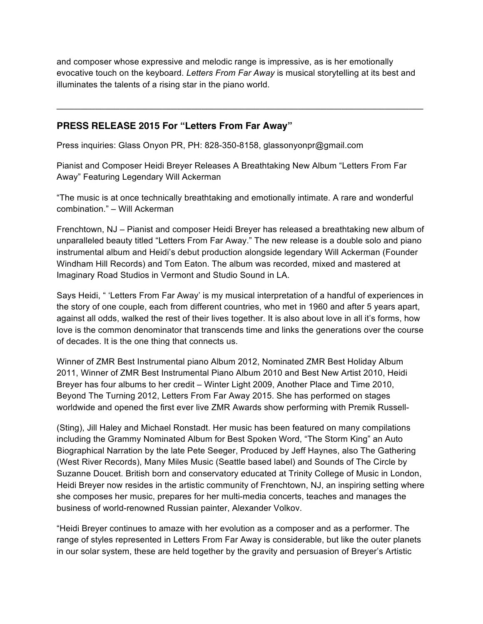and composer whose expressive and melodic range is impressive, as is her emotionally evocative touch on the keyboard. *Letters From Far Away* is musical storytelling at its best and illuminates the talents of a rising star in the piano world.

#### **PRESS RELEASE 2015 For "Letters From Far Away"**

Press inquiries: Glass Onyon PR, PH: 828-350-8158, glassonyonpr@gmail.com

Pianist and Composer Heidi Breyer Releases A Breathtaking New Album "Letters From Far Away" Featuring Legendary Will Ackerman

"The music is at once technically breathtaking and emotionally intimate. A rare and wonderful combination." – Will Ackerman

Frenchtown, NJ – Pianist and composer Heidi Breyer has released a breathtaking new album of unparalleled beauty titled "Letters From Far Away." The new release is a double solo and piano instrumental album and Heidi's debut production alongside legendary Will Ackerman (Founder Windham Hill Records) and Tom Eaton. The album was recorded, mixed and mastered at Imaginary Road Studios in Vermont and Studio Sound in LA.

Says Heidi, " 'Letters From Far Away' is my musical interpretation of a handful of experiences in the story of one couple, each from different countries, who met in 1960 and after 5 years apart, against all odds, walked the rest of their lives together. It is also about love in all it's forms, how love is the common denominator that transcends time and links the generations over the course of decades. It is the one thing that connects us.

Winner of ZMR Best Instrumental piano Album 2012, Nominated ZMR Best Holiday Album 2011, Winner of ZMR Best Instrumental Piano Album 2010 and Best New Artist 2010, Heidi Breyer has four albums to her credit – Winter Light 2009, Another Place and Time 2010, Beyond The Turning 2012, Letters From Far Away 2015. She has performed on stages worldwide and opened the first ever live ZMR Awards show performing with Premik Russell-

(Sting), Jill Haley and Michael Ronstadt. Her music has been featured on many compilations including the Grammy Nominated Album for Best Spoken Word, "The Storm King" an Auto Biographical Narration by the late Pete Seeger, Produced by Jeff Haynes, also The Gathering (West River Records), Many Miles Music (Seattle based label) and Sounds of The Circle by Suzanne Doucet. British born and conservatory educated at Trinity College of Music in London, Heidi Breyer now resides in the artistic community of Frenchtown, NJ, an inspiring setting where she composes her music, prepares for her multi-media concerts, teaches and manages the business of world-renowned Russian painter, Alexander Volkov.

"Heidi Breyer continues to amaze with her evolution as a composer and as a performer. The range of styles represented in Letters From Far Away is considerable, but like the outer planets in our solar system, these are held together by the gravity and persuasion of Breyer's Artistic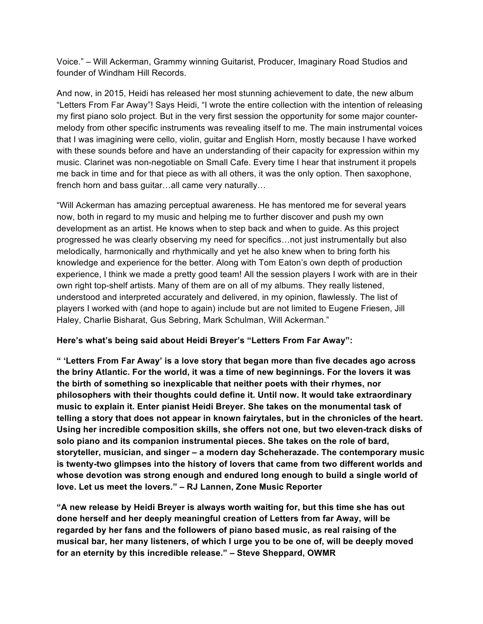Voice." – Will Ackerman, Grammy winning Guitarist, Producer, Imaginary Road Studios and founder of Windham Hill Records.

And now, in 2015, Heidi has released her most stunning achievement to date, the new album "Letters From Far Away"! Says Heidi, "I wrote the entire collection with the intention of releasing my first piano solo project. But in the very first session the opportunity for some major countermelody from other specific instruments was revealing itself to me. The main instrumental voices that I was imagining were cello, violin, guitar and English Horn, mostly because I have worked with these sounds before and have an understanding of their capacity for expression within my music. Clarinet was non-negotiable on Small Cafe. Every time I hear that instrument it propels me back in time and for that piece as with all others, it was the only option. Then saxophone, french horn and bass guitar…all came very naturally…

"Will Ackerman has amazing perceptual awareness. He has mentored me for several years now, both in regard to my music and helping me to further discover and push my own development as an artist. He knows when to step back and when to guide. As this project progressed he was clearly observing my need for specifics…not just instrumentally but also melodically, harmonically and rhythmically and yet he also knew when to bring forth his knowledge and experience for the better. Along with Tom Eaton's own depth of production experience, I think we made a pretty good team! All the session players I work with are in their own right top-shelf artists. Many of them are on all of my albums. They really listened, understood and interpreted accurately and delivered, in my opinion, flawlessly. The list of players I worked with (and hope to again) include but are not limited to Eugene Friesen, Jill Haley, Charlie Bisharat, Gus Sebring, Mark Schulman, Will Ackerman."

#### **Here's what's being said about Heidi Breyer's "Letters From Far Away":**

**" 'Letters From Far Away' is a love story that began more than five decades ago across the briny Atlantic. For the world, it was a time of new beginnings. For the lovers it was the birth of something so inexplicable that neither poets with their rhymes, nor philosophers with their thoughts could define it. Until now. It would take extraordinary music to explain it. Enter pianist Heidi Breyer. She takes on the monumental task of telling a story that does not appear in known fairytales, but in the chronicles of the heart. Using her incredible composition skills, she offers not one, but two eleven-track disks of solo piano and its companion instrumental pieces. She takes on the role of bard, storyteller, musician, and singer – a modern day Scheherazade. The contemporary music is twenty-two glimpses into the history of lovers that came from two different worlds and whose devotion was strong enough and endured long enough to build a single world of love. Let us meet the lovers." – RJ Lannen, Zone Music Reporter**

**"A new release by Heidi Breyer is always worth waiting for, but this time she has out done herself and her deeply meaningful creation of Letters from far Away, will be regarded by her fans and the followers of piano based music, as real raising of the musical bar, her many listeners, of which I urge you to be one of, will be deeply moved for an eternity by this incredible release." – Steve Sheppard, OWMR**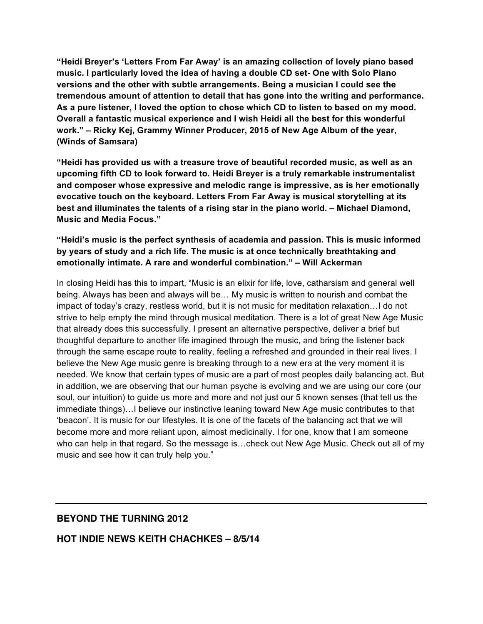**"Heidi Breyer's 'Letters From Far Away' is an amazing collection of lovely piano based music. I particularly loved the idea of having a double CD set- One with Solo Piano versions and the other with subtle arrangements. Being a musician I could see the tremendous amount of attention to detail that has gone into the writing and performance. As a pure listener, I loved the option to chose which CD to listen to based on my mood. Overall a fantastic musical experience and I wish Heidi all the best for this wonderful work." – Ricky Kej, Grammy Winner Producer, 2015 of New Age Album of the year, (Winds of Samsara)**

**"Heidi has provided us with a treasure trove of beautiful recorded music, as well as an upcoming fifth CD to look forward to. Heidi Breyer is a truly remarkable instrumentalist and composer whose expressive and melodic range is impressive, as is her emotionally evocative touch on the keyboard. Letters From Far Away is musical storytelling at its best and illuminates the talents of a rising star in the piano world. – Michael Diamond, Music and Media Focus."**

#### **"Heidi's music is the perfect synthesis of academia and passion. This is music informed by years of study and a rich life. The music is at once technically breathtaking and emotionally intimate. A rare and wonderful combination." – Will Ackerman**

In closing Heidi has this to impart, "Music is an elixir for life, love, catharsism and general well being. Always has been and always will be… My music is written to nourish and combat the impact of today's crazy, restless world, but it is not music for meditation relaxation…I do not strive to help empty the mind through musical meditation. There is a lot of great New Age Music that already does this successfully. I present an alternative perspective, deliver a brief but thoughtful departure to another life imagined through the music, and bring the listener back through the same escape route to reality, feeling a refreshed and grounded in their real lives. I believe the New Age music genre is breaking through to a new era at the very moment it is needed. We know that certain types of music are a part of most peoples daily balancing act. But in addition, we are observing that our human psyche is evolving and we are using our core (our soul, our intuition) to guide us more and more and not just our 5 known senses (that tell us the immediate things)…I believe our instinctive leaning toward New Age music contributes to that 'beacon'. It is music for our lifestyles. It is one of the facets of the balancing act that we will become more and more reliant upon, almost medicinally. I for one, know that I am someone who can help in that regard. So the message is…check out New Age Music. Check out all of my music and see how it can truly help you."

#### **BEYOND THE TURNING 2012**

#### **HOT INDIE NEWS KEITH CHACHKES – 8/5/14**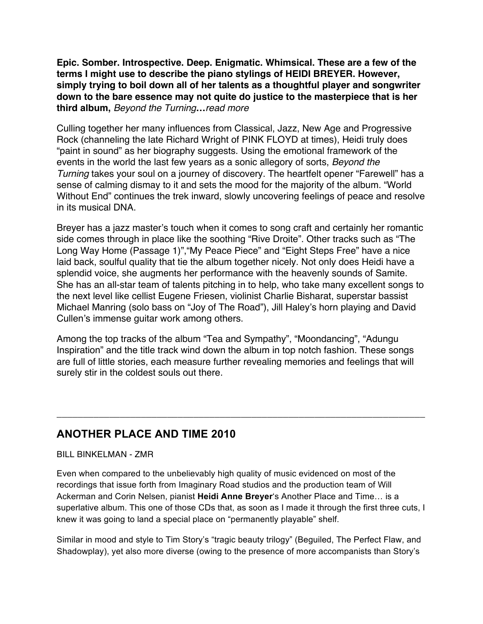**Epic. Somber. Introspective. Deep. Enigmatic. Whimsical. These are a few of the terms I might use to describe the piano stylings of HEIDI BREYER. However, simply trying to boil down all of her talents as a thoughtful player and songwriter down to the bare essence may not quite do justice to the masterpiece that is her third album,** *Beyond the Turning***…***read more*

Culling together her many influences from Classical, Jazz, New Age and Progressive Rock (channeling the late Richard Wright of PINK FLOYD at times), Heidi truly does "paint in sound" as her biography suggests. Using the emotional framework of the events in the world the last few years as a sonic allegory of sorts, *Beyond the Turning* takes your soul on a journey of discovery. The heartfelt opener "Farewell" has a sense of calming dismay to it and sets the mood for the majority of the album. "World Without End" continues the trek inward, slowly uncovering feelings of peace and resolve in its musical DNA.

Breyer has a jazz master's touch when it comes to song craft and certainly her romantic side comes through in place like the soothing "Rive Droite". Other tracks such as "The Long Way Home (Passage 1)","My Peace Piece" and "Eight Steps Free" have a nice laid back, soulful quality that tie the album together nicely. Not only does Heidi have a splendid voice, she augments her performance with the heavenly sounds of Samite. She has an all-star team of talents pitching in to help, who take many excellent songs to the next level like cellist Eugene Friesen, violinist Charlie Bisharat, superstar bassist Michael Manring (solo bass on "Joy of The Road"), Jill Haley's horn playing and David Cullen's immense guitar work among others.

Among the top tracks of the album "Tea and Sympathy", "Moondancing", "Adungu Inspiration" and the title track wind down the album in top notch fashion. These songs are full of little stories, each measure further revealing memories and feelings that will surely stir in the coldest souls out there.

\_\_\_\_\_\_\_\_\_\_\_\_\_\_\_\_\_\_\_\_\_\_\_\_\_\_\_\_\_\_\_\_\_\_\_\_\_\_\_\_\_\_\_\_\_\_\_\_\_\_\_\_\_\_\_\_\_\_\_\_\_\_\_\_\_\_\_\_\_\_

## **ANOTHER PLACE AND TIME 2010**

BILL BINKELMAN - ZMR

Even when compared to the unbelievably high quality of music evidenced on most of the recordings that issue forth from Imaginary Road studios and the production team of Will Ackerman and Corin Nelsen, pianist **Heidi Anne Breyer**'s Another Place and Time… is a superlative album. This one of those CDs that, as soon as I made it through the first three cuts, I knew it was going to land a special place on "permanently playable" shelf.

Similar in mood and style to Tim Story's "tragic beauty trilogy" (Beguiled, The Perfect Flaw, and Shadowplay), yet also more diverse (owing to the presence of more accompanists than Story's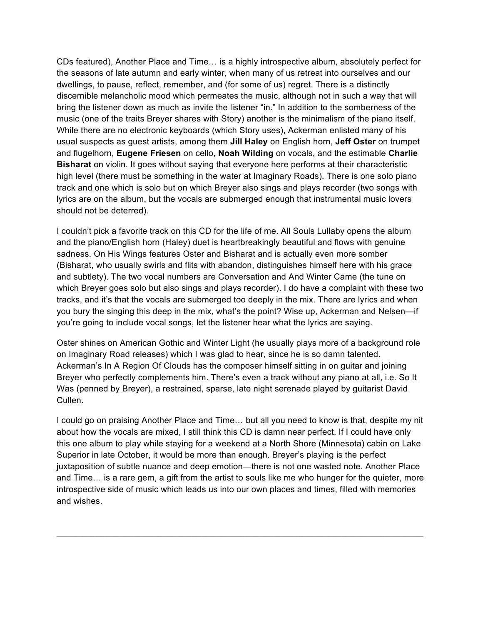CDs featured), Another Place and Time… is a highly introspective album, absolutely perfect for the seasons of late autumn and early winter, when many of us retreat into ourselves and our dwellings, to pause, reflect, remember, and (for some of us) regret. There is a distinctly discernible melancholic mood which permeates the music, although not in such a way that will bring the listener down as much as invite the listener "in." In addition to the somberness of the music (one of the traits Breyer shares with Story) another is the minimalism of the piano itself. While there are no electronic keyboards (which Story uses), Ackerman enlisted many of his usual suspects as guest artists, among them **Jill Haley** on English horn, **Jeff Oster** on trumpet and flugelhorn, **Eugene Friesen** on cello, **Noah Wilding** on vocals, and the estimable **Charlie Bisharat** on violin. It goes without saying that everyone here performs at their characteristic high level (there must be something in the water at Imaginary Roads). There is one solo piano track and one which is solo but on which Breyer also sings and plays recorder (two songs with lyrics are on the album, but the vocals are submerged enough that instrumental music lovers should not be deterred).

I couldn't pick a favorite track on this CD for the life of me. All Souls Lullaby opens the album and the piano/English horn (Haley) duet is heartbreakingly beautiful and flows with genuine sadness. On His Wings features Oster and Bisharat and is actually even more somber (Bisharat, who usually swirls and flits with abandon, distinguishes himself here with his grace and subtlety). The two vocal numbers are Conversation and And Winter Came (the tune on which Breyer goes solo but also sings and plays recorder). I do have a complaint with these two tracks, and it's that the vocals are submerged too deeply in the mix. There are lyrics and when you bury the singing this deep in the mix, what's the point? Wise up, Ackerman and Nelsen—if you're going to include vocal songs, let the listener hear what the lyrics are saying.

Oster shines on American Gothic and Winter Light (he usually plays more of a background role on Imaginary Road releases) which I was glad to hear, since he is so damn talented. Ackerman's In A Region Of Clouds has the composer himself sitting in on guitar and joining Breyer who perfectly complements him. There's even a track without any piano at all, i.e. So It Was (penned by Breyer), a restrained, sparse, late night serenade played by guitarist David Cullen.

I could go on praising Another Place and Time… but all you need to know is that, despite my nit about how the vocals are mixed, I still think this CD is damn near perfect. If I could have only this one album to play while staying for a weekend at a North Shore (Minnesota) cabin on Lake Superior in late October, it would be more than enough. Breyer's playing is the perfect juxtaposition of subtle nuance and deep emotion—there is not one wasted note. Another Place and Time… is a rare gem, a gift from the artist to souls like me who hunger for the quieter, more introspective side of music which leads us into our own places and times, filled with memories and wishes.

\_\_\_\_\_\_\_\_\_\_\_\_\_\_\_\_\_\_\_\_\_\_\_\_\_\_\_\_\_\_\_\_\_\_\_\_\_\_\_\_\_\_\_\_\_\_\_\_\_\_\_\_\_\_\_\_\_\_\_\_\_\_\_\_\_\_\_\_\_\_\_\_\_\_\_\_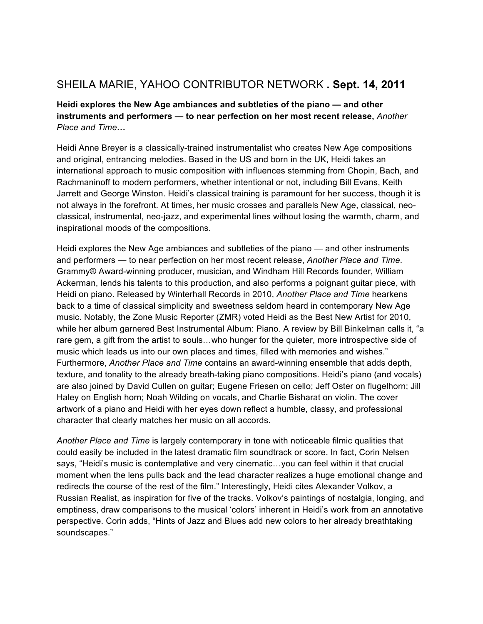# SHEILA MARIE, YAHOO CONTRIBUTOR NETWORK **. Sept. 14, 2011**

**Heidi explores the New Age ambiances and subtleties of the piano — and other instruments and performers — to near perfection on her most recent release,** *Another Place and Time***…**

Heidi Anne Breyer is a classically-trained instrumentalist who creates New Age compositions and original, entrancing melodies. Based in the US and born in the UK, Heidi takes an international approach to music composition with influences stemming from Chopin, Bach, and Rachmaninoff to modern performers, whether intentional or not, including Bill Evans, Keith Jarrett and George Winston. Heidi's classical training is paramount for her success, though it is not always in the forefront. At times, her music crosses and parallels New Age, classical, neoclassical, instrumental, neo-jazz, and experimental lines without losing the warmth, charm, and inspirational moods of the compositions.

Heidi explores the New Age ambiances and subtleties of the piano — and other instruments and performers — to near perfection on her most recent release, *Another Place and Time*. Grammy® Award-winning producer, musician, and Windham Hill Records founder, William Ackerman, lends his talents to this production, and also performs a poignant guitar piece, with Heidi on piano. Released by Winterhall Records in 2010, *Another Place and Time* hearkens back to a time of classical simplicity and sweetness seldom heard in contemporary New Age music. Notably, the Zone Music Reporter (ZMR) voted Heidi as the Best New Artist for 2010, while her album garnered Best Instrumental Album: Piano. A review by Bill Binkelman calls it, "a rare gem, a gift from the artist to souls…who hunger for the quieter, more introspective side of music which leads us into our own places and times, filled with memories and wishes." Furthermore, *Another Place and Time* contains an award-winning ensemble that adds depth, texture, and tonality to the already breath-taking piano compositions. Heidi's piano (and vocals) are also joined by David Cullen on guitar; Eugene Friesen on cello; Jeff Oster on flugelhorn; Jill Haley on English horn; Noah Wilding on vocals, and Charlie Bisharat on violin. The cover artwork of a piano and Heidi with her eyes down reflect a humble, classy, and professional character that clearly matches her music on all accords.

*Another Place and Time* is largely contemporary in tone with noticeable filmic qualities that could easily be included in the latest dramatic film soundtrack or score. In fact, Corin Nelsen says, "Heidi's music is contemplative and very cinematic…you can feel within it that crucial moment when the lens pulls back and the lead character realizes a huge emotional change and redirects the course of the rest of the film." Interestingly, Heidi cites Alexander Volkov, a Russian Realist, as inspiration for five of the tracks. Volkov's paintings of nostalgia, longing, and emptiness, draw comparisons to the musical 'colors' inherent in Heidi's work from an annotative perspective. Corin adds, "Hints of Jazz and Blues add new colors to her already breathtaking soundscapes."